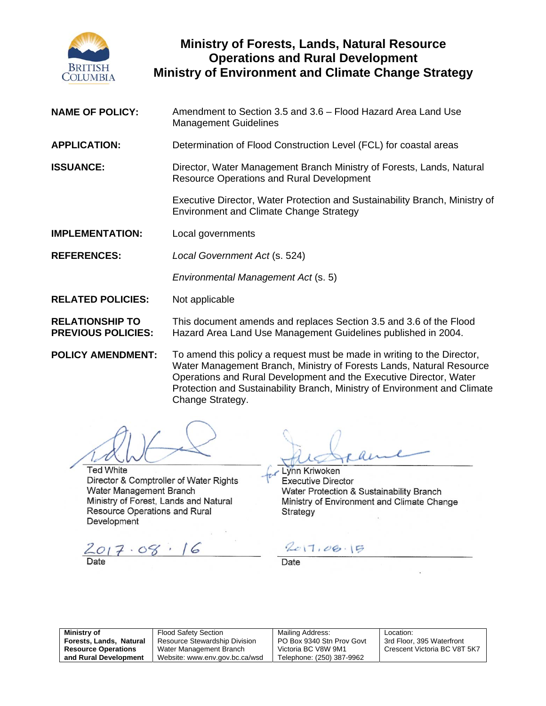

# **Ministry of Forests, Lands, Natural Resource Operations and Rural Development Ministry of Environment and Climate Change Strategy**

| <b>NAME OF POLICY:</b>                              | Amendment to Section 3.5 and 3.6 - Flood Hazard Area Land Use<br><b>Management Guidelines</b>                                                                                                                                                                                                      |  |
|-----------------------------------------------------|----------------------------------------------------------------------------------------------------------------------------------------------------------------------------------------------------------------------------------------------------------------------------------------------------|--|
| <b>APPLICATION:</b>                                 | Determination of Flood Construction Level (FCL) for coastal areas                                                                                                                                                                                                                                  |  |
| <b>ISSUANCE:</b>                                    | Director, Water Management Branch Ministry of Forests, Lands, Natural<br><b>Resource Operations and Rural Development</b>                                                                                                                                                                          |  |
|                                                     | Executive Director, Water Protection and Sustainability Branch, Ministry of<br><b>Environment and Climate Change Strategy</b>                                                                                                                                                                      |  |
| <b>IMPLEMENTATION:</b>                              | Local governments                                                                                                                                                                                                                                                                                  |  |
| <b>REFERENCES:</b>                                  | Local Government Act (s. 524)                                                                                                                                                                                                                                                                      |  |
|                                                     | Environmental Management Act (s. 5)                                                                                                                                                                                                                                                                |  |
| <b>RELATED POLICIES:</b>                            | Not applicable                                                                                                                                                                                                                                                                                     |  |
| <b>RELATIONSHIP TO</b><br><b>PREVIOUS POLICIES:</b> | This document amends and replaces Section 3.5 and 3.6 of the Flood<br>Hazard Area Land Use Management Guidelines published in 2004.                                                                                                                                                                |  |
| <b>POLICY AMENDMENT:</b>                            | To amend this policy a request must be made in writing to the Director,<br>Water Management Branch, Ministry of Forests Lands, Natural Resource<br>Operations and Rural Development and the Executive Director, Water<br>Protection and Sustainability Branch, Ministry of Environment and Climate |  |

**Ted White** Director & Comptroller of Water Rights Water Management Branch Ministry of Forest, Lands and Natural Resource Operations and Rural Development

 $2017.08.16$ 

Lynn Kriwoken **Executive Director** Water Protection & Sustainability Branch Ministry of Environment and Climate Change Strategy

 $2017.08.15$ 

Date

| Ministry of                |  |  |
|----------------------------|--|--|
| Forests, Lands, Natural    |  |  |
| <b>Resource Operations</b> |  |  |
| and Rural Development      |  |  |

| <b>Flood Safety Section</b>          |  |
|--------------------------------------|--|
| <b>Resource Stewardship Division</b> |  |
| Water Management Branch              |  |
| Website: www.env.gov.bc.ca/wsd       |  |

Change Strategy.

Mailing Address: PO Box 9340 Stn Prov Govt Victoria BC V8W 9M1 Telephone: (250) 387-9962

Location: 3rd Floor, 395 Waterfront Crescent Victoria BC V8T 5K7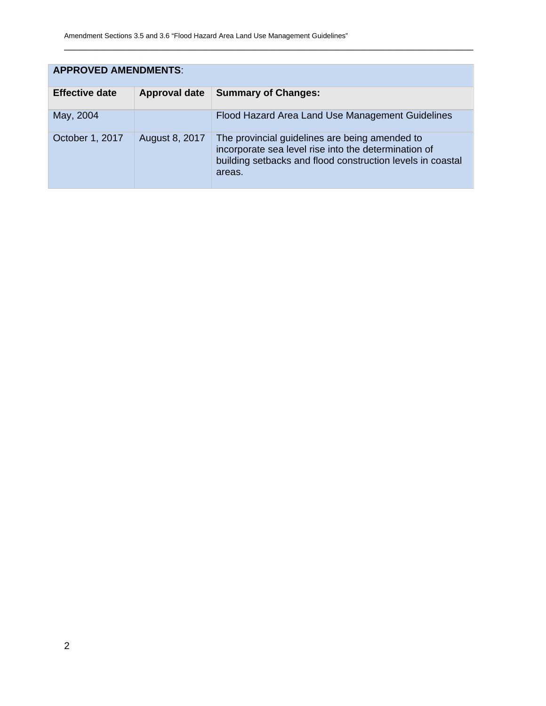| <b>APPROVED AMENDMENTS:</b> |                      |                                                                                                                                                                                |  |  |  |  |
|-----------------------------|----------------------|--------------------------------------------------------------------------------------------------------------------------------------------------------------------------------|--|--|--|--|
| <b>Effective date</b>       | <b>Approval date</b> | <b>Summary of Changes:</b>                                                                                                                                                     |  |  |  |  |
| May, 2004                   |                      | Flood Hazard Area Land Use Management Guidelines                                                                                                                               |  |  |  |  |
| October 1, 2017             | August 8, 2017       | The provincial guidelines are being amended to<br>incorporate sea level rise into the determination of<br>building setbacks and flood construction levels in coastal<br>areas. |  |  |  |  |

\_\_\_\_\_\_\_\_\_\_\_\_\_\_\_\_\_\_\_\_\_\_\_\_\_\_\_\_\_\_\_\_\_\_\_\_\_\_\_\_\_\_\_\_\_\_\_\_\_\_\_\_\_\_\_\_\_\_\_\_\_\_\_\_\_\_\_\_\_\_\_\_\_\_\_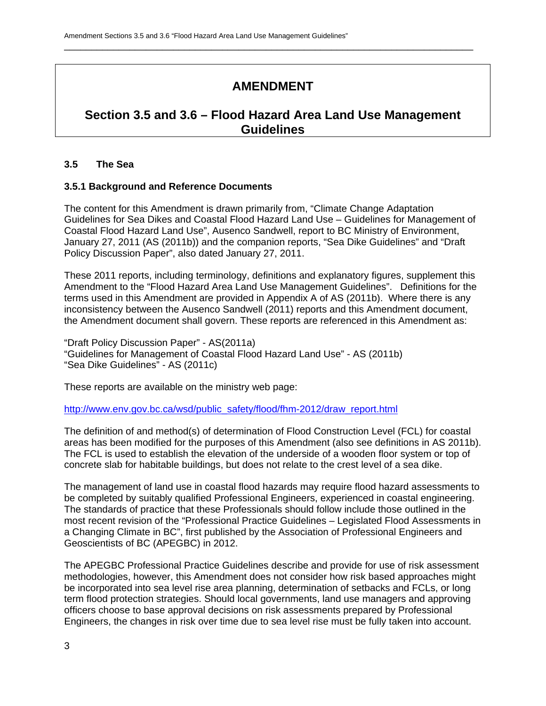# **AMENDMENT**

\_\_\_\_\_\_\_\_\_\_\_\_\_\_\_\_\_\_\_\_\_\_\_\_\_\_\_\_\_\_\_\_\_\_\_\_\_\_\_\_\_\_\_\_\_\_\_\_\_\_\_\_\_\_\_\_\_\_\_\_\_\_\_\_\_\_\_\_\_\_\_\_\_\_\_

# **Section 3.5 and 3.6 – Flood Hazard Area Land Use Management Guidelines**

## **3.5 The Sea**

## **3.5.1 Background and Reference Documents**

The content for this Amendment is drawn primarily from, "Climate Change Adaptation Guidelines for Sea Dikes and Coastal Flood Hazard Land Use – Guidelines for Management of Coastal Flood Hazard Land Use", Ausenco Sandwell, report to BC Ministry of Environment, January 27, 2011 (AS (2011b)) and the companion reports, "Sea Dike Guidelines" and "Draft Policy Discussion Paper", also dated January 27, 2011.

These 2011 reports, including terminology, definitions and explanatory figures, supplement this Amendment to the "Flood Hazard Area Land Use Management Guidelines". Definitions for the terms used in this Amendment are provided in Appendix A of AS (2011b). Where there is any inconsistency between the Ausenco Sandwell (2011) reports and this Amendment document, the Amendment document shall govern. These reports are referenced in this Amendment as:

"Draft Policy Discussion Paper" - AS(2011a) "Guidelines for Management of Coastal Flood Hazard Land Use" - AS (2011b) "Sea Dike Guidelines" - AS (2011c)

These reports are available on the ministry web page:

http://www.env.gov.bc.ca/wsd/public\_safety/flood/fhm-2012/draw\_report.html

The definition of and method(s) of determination of Flood Construction Level (FCL) for coastal areas has been modified for the purposes of this Amendment (also see definitions in AS 2011b). The FCL is used to establish the elevation of the underside of a wooden floor system or top of concrete slab for habitable buildings, but does not relate to the crest level of a sea dike.

The management of land use in coastal flood hazards may require flood hazard assessments to be completed by suitably qualified Professional Engineers, experienced in coastal engineering. The standards of practice that these Professionals should follow include those outlined in the most recent revision of the "Professional Practice Guidelines – Legislated Flood Assessments in a Changing Climate in BC", first published by the Association of Professional Engineers and Geoscientists of BC (APEGBC) in 2012.

The APEGBC Professional Practice Guidelines describe and provide for use of risk assessment methodologies, however, this Amendment does not consider how risk based approaches might be incorporated into sea level rise area planning, determination of setbacks and FCLs, or long term flood protection strategies. Should local governments, land use managers and approving officers choose to base approval decisions on risk assessments prepared by Professional Engineers, the changes in risk over time due to sea level rise must be fully taken into account.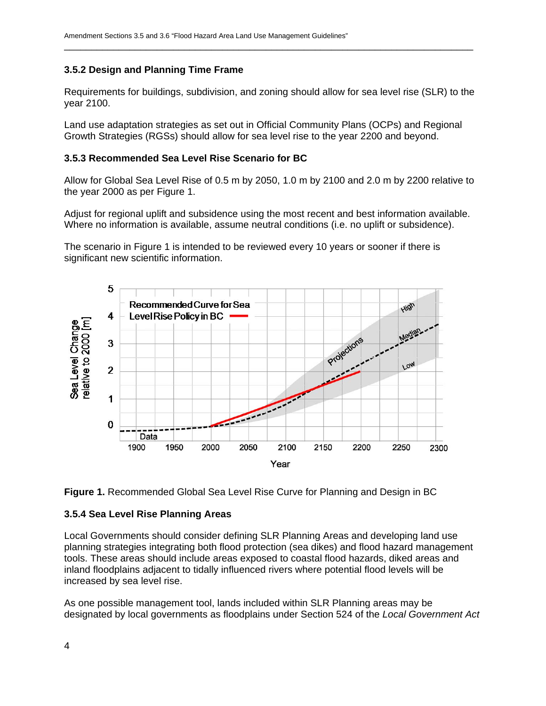## **3.5.2 Design and Planning Time Frame**

Requirements for buildings, subdivision, and zoning should allow for sea level rise (SLR) to the year 2100.

\_\_\_\_\_\_\_\_\_\_\_\_\_\_\_\_\_\_\_\_\_\_\_\_\_\_\_\_\_\_\_\_\_\_\_\_\_\_\_\_\_\_\_\_\_\_\_\_\_\_\_\_\_\_\_\_\_\_\_\_\_\_\_\_\_\_\_\_\_\_\_\_\_\_\_

Land use adaptation strategies as set out in Official Community Plans (OCPs) and Regional Growth Strategies (RGSs) should allow for sea level rise to the year 2200 and beyond.

#### **3.5.3 Recommended Sea Level Rise Scenario for BC**

Allow for Global Sea Level Rise of 0.5 m by 2050, 1.0 m by 2100 and 2.0 m by 2200 relative to the year 2000 as per Figure 1.

Adjust for regional uplift and subsidence using the most recent and best information available. Where no information is available, assume neutral conditions (i.e. no uplift or subsidence).

The scenario in Figure 1 is intended to be reviewed every 10 years or sooner if there is significant new scientific information.





#### **3.5.4 Sea Level Rise Planning Areas**

Local Governments should consider defining SLR Planning Areas and developing land use planning strategies integrating both flood protection (sea dikes) and flood hazard management tools. These areas should include areas exposed to coastal flood hazards, diked areas and inland floodplains adjacent to tidally influenced rivers where potential flood levels will be increased by sea level rise.

As one possible management tool, lands included within SLR Planning areas may be designated by local governments as floodplains under Section 524 of the *Local Government Act*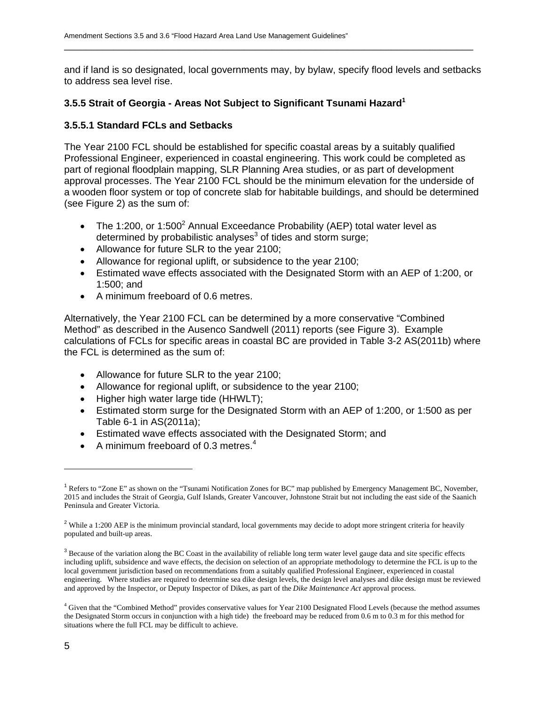and if land is so designated, local governments may, by bylaw, specify flood levels and setbacks to address sea level rise.

\_\_\_\_\_\_\_\_\_\_\_\_\_\_\_\_\_\_\_\_\_\_\_\_\_\_\_\_\_\_\_\_\_\_\_\_\_\_\_\_\_\_\_\_\_\_\_\_\_\_\_\_\_\_\_\_\_\_\_\_\_\_\_\_\_\_\_\_\_\_\_\_\_\_\_

## **3.5.5 Strait of Georgia - Areas Not Subject to Significant Tsunami Hazard1**

#### **3.5.5.1 Standard FCLs and Setbacks**

The Year 2100 FCL should be established for specific coastal areas by a suitably qualified Professional Engineer, experienced in coastal engineering. This work could be completed as part of regional floodplain mapping, SLR Planning Area studies, or as part of development approval processes. The Year 2100 FCL should be the minimum elevation for the underside of a wooden floor system or top of concrete slab for habitable buildings, and should be determined (see Figure 2) as the sum of:

- The 1:200, or 1:500<sup>2</sup> Annual Exceedance Probability (AEP) total water level as determined by probabilistic analyses $3$  of tides and storm surge;
- Allowance for future SLR to the year 2100;
- Allowance for regional uplift, or subsidence to the year 2100;
- Estimated wave effects associated with the Designated Storm with an AEP of 1:200, or 1:500; and
- A minimum freeboard of 0.6 metres.

Alternatively, the Year 2100 FCL can be determined by a more conservative "Combined Method" as described in the Ausenco Sandwell (2011) reports (see Figure 3). Example calculations of FCLs for specific areas in coastal BC are provided in Table 3-2 AS(2011b) where the FCL is determined as the sum of:

- Allowance for future SLR to the year 2100;
- Allowance for regional uplift, or subsidence to the year 2100;
- Higher high water large tide (HHWLT);
- Estimated storm surge for the Designated Storm with an AEP of 1:200, or 1:500 as per Table 6-1 in AS(2011a);
- Estimated wave effects associated with the Designated Storm; and
- A minimum freeboard of 0.3 metres.<sup>4</sup>

 $\overline{a}$ 

<sup>&</sup>lt;sup>1</sup> Refers to "Zone E" as shown on the "Tsunami Notification Zones for BC" map published by Emergency Management BC, November, 2015 and includes the Strait of Georgia, Gulf Islands, Greater Vancouver, Johnstone Strait but not including the east side of the Saanich Peninsula and Greater Victoria.

<sup>&</sup>lt;sup>2</sup> While a 1:200 AEP is the minimum provincial standard, local governments may decide to adopt more stringent criteria for heavily populated and built-up areas.

 $3$  Because of the variation along the BC Coast in the availability of reliable long term water level gauge data and site specific effects including uplift, subsidence and wave effects, the decision on selection of an appropriate methodology to determine the FCL is up to the local government jurisdiction based on recommendations from a suitably qualified Professional Engineer, experienced in coastal engineering. Where studies are required to determine sea dike design levels, the design level analyses and dike design must be reviewed and approved by the Inspector, or Deputy Inspector of Dikes, as part of the *Dike Maintenance Act* approval process.

<sup>&</sup>lt;sup>4</sup> Given that the "Combined Method" provides conservative values for Year 2100 Designated Flood Levels (because the method assumes the Designated Storm occurs in conjunction with a high tide) the freeboard may be reduced from 0.6 m to 0.3 m for this method for situations where the full FCL may be difficult to achieve.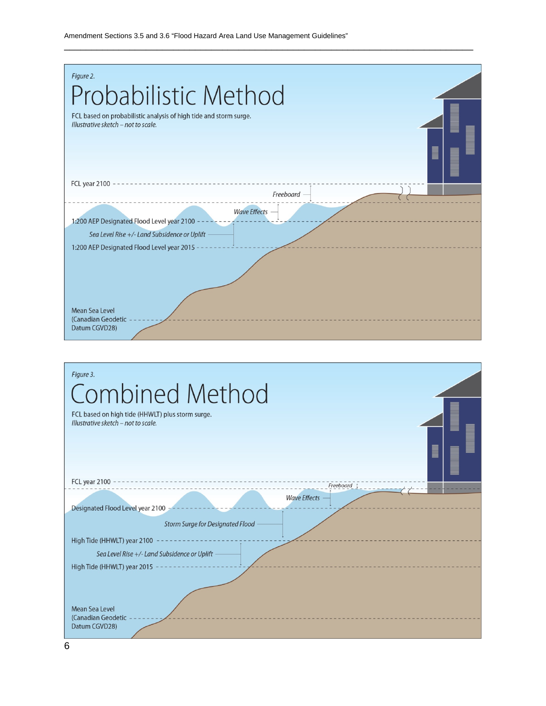| Figure 2.<br>Probabilistic Method<br>FCL based on probabilistic analysis of high tide and storm surge.<br>Illustrative sketch - not to scale.                   |  |
|-----------------------------------------------------------------------------------------------------------------------------------------------------------------|--|
| FCL year 2100<br>Freeboard                                                                                                                                      |  |
| <b>Wave Effects</b><br>1:200 AEP Designated Flood Level year 2100<br>Sea Level Rise +/- Land Subsidence or Uplift<br>1:200 AEP Designated Flood Level year 2015 |  |
| Mean Sea Level<br>(Canadian Geodetic<br>Datum CGVD28)                                                                                                           |  |

\_\_\_\_\_\_\_\_\_\_\_\_\_\_\_\_\_\_\_\_\_\_\_\_\_\_\_\_\_\_\_\_\_\_\_\_\_\_\_\_\_\_\_\_\_\_\_\_\_\_\_\_\_\_\_\_\_\_\_\_\_\_\_\_\_\_\_\_\_\_\_\_\_\_\_

| Figure 3.<br><b>Combined Method</b>                     |  |
|---------------------------------------------------------|--|
| FCL based on high tide (HHWLT) plus storm surge.        |  |
| Illustrative sketch - not to scale.                     |  |
| ∎                                                       |  |
|                                                         |  |
| FCL year 2100<br>Freeboard                              |  |
| <b>Wave Effects</b><br>Designated Flood Level year 2100 |  |
| <b>Storm Surge for Designated Flood</b>                 |  |
| High Tide (HHWLT) year 2100                             |  |
| Sea Level Rise +/- Land Subsidence or Uplift            |  |
| High Tide (HHWLT) year 2015                             |  |
|                                                         |  |
| Mean Sea Level                                          |  |
| (Canadian Geodetic<br>Datum CGVD28)                     |  |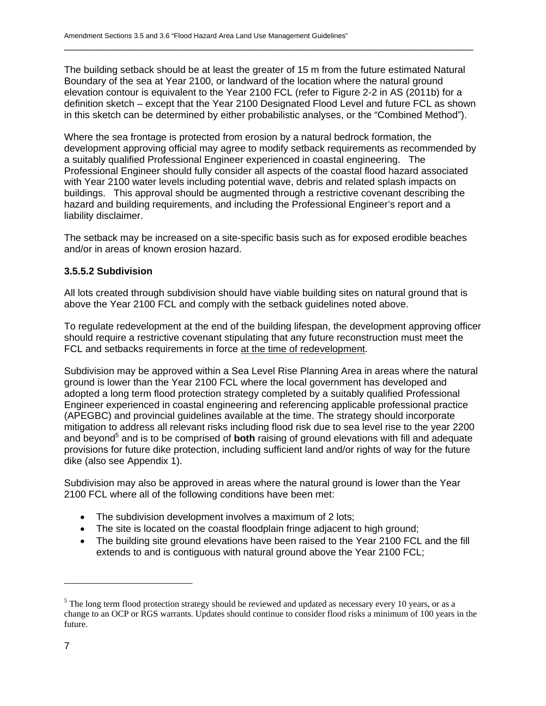The building setback should be at least the greater of 15 m from the future estimated Natural Boundary of the sea at Year 2100, or landward of the location where the natural ground elevation contour is equivalent to the Year 2100 FCL (refer to Figure 2-2 in AS (2011b) for a definition sketch – except that the Year 2100 Designated Flood Level and future FCL as shown in this sketch can be determined by either probabilistic analyses, or the "Combined Method").

\_\_\_\_\_\_\_\_\_\_\_\_\_\_\_\_\_\_\_\_\_\_\_\_\_\_\_\_\_\_\_\_\_\_\_\_\_\_\_\_\_\_\_\_\_\_\_\_\_\_\_\_\_\_\_\_\_\_\_\_\_\_\_\_\_\_\_\_\_\_\_\_\_\_\_

Where the sea frontage is protected from erosion by a natural bedrock formation, the development approving official may agree to modify setback requirements as recommended by a suitably qualified Professional Engineer experienced in coastal engineering. The Professional Engineer should fully consider all aspects of the coastal flood hazard associated with Year 2100 water levels including potential wave, debris and related splash impacts on buildings. This approval should be augmented through a restrictive covenant describing the hazard and building requirements, and including the Professional Engineer's report and a liability disclaimer.

The setback may be increased on a site-specific basis such as for exposed erodible beaches and/or in areas of known erosion hazard.

## **3.5.5.2 Subdivision**

All lots created through subdivision should have viable building sites on natural ground that is above the Year 2100 FCL and comply with the setback guidelines noted above.

To regulate redevelopment at the end of the building lifespan, the development approving officer should require a restrictive covenant stipulating that any future reconstruction must meet the FCL and setbacks requirements in force at the time of redevelopment.

Subdivision may be approved within a Sea Level Rise Planning Area in areas where the natural ground is lower than the Year 2100 FCL where the local government has developed and adopted a long term flood protection strategy completed by a suitably qualified Professional Engineer experienced in coastal engineering and referencing applicable professional practice (APEGBC) and provincial guidelines available at the time. The strategy should incorporate mitigation to address all relevant risks including flood risk due to sea level rise to the year 2200 and beyond<sup>5</sup> and is to be comprised of **both** raising of ground elevations with fill and adequate provisions for future dike protection, including sufficient land and/or rights of way for the future dike (also see Appendix 1).

Subdivision may also be approved in areas where the natural ground is lower than the Year 2100 FCL where all of the following conditions have been met:

- The subdivision development involves a maximum of 2 lots;
- The site is located on the coastal floodplain fringe adjacent to high ground;
- The building site ground elevations have been raised to the Year 2100 FCL and the fill extends to and is contiguous with natural ground above the Year 2100 FCL;

-

<sup>&</sup>lt;sup>5</sup> The long term flood protection strategy should be reviewed and updated as necessary every 10 years, or as a change to an OCP or RGS warrants. Updates should continue to consider flood risks a minimum of 100 years in the future.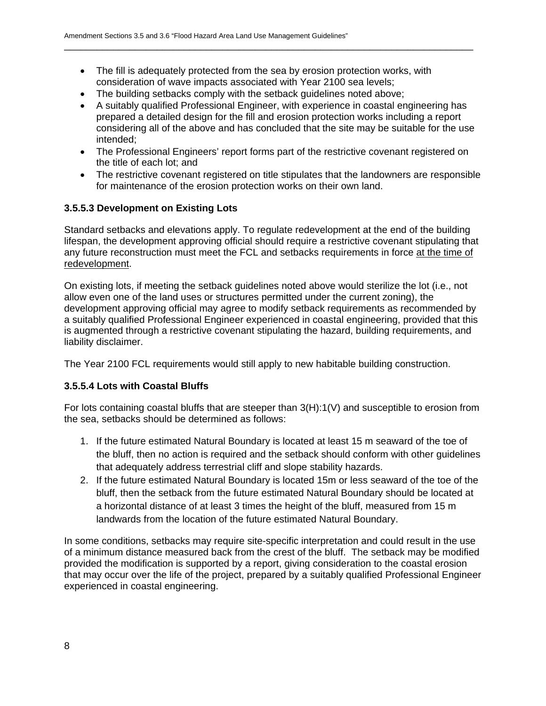• The fill is adequately protected from the sea by erosion protection works, with consideration of wave impacts associated with Year 2100 sea levels;

\_\_\_\_\_\_\_\_\_\_\_\_\_\_\_\_\_\_\_\_\_\_\_\_\_\_\_\_\_\_\_\_\_\_\_\_\_\_\_\_\_\_\_\_\_\_\_\_\_\_\_\_\_\_\_\_\_\_\_\_\_\_\_\_\_\_\_\_\_\_\_\_\_\_\_

- The building setbacks comply with the setback guidelines noted above;
- A suitably qualified Professional Engineer, with experience in coastal engineering has prepared a detailed design for the fill and erosion protection works including a report considering all of the above and has concluded that the site may be suitable for the use intended;
- The Professional Engineers' report forms part of the restrictive covenant registered on the title of each lot; and
- The restrictive covenant registered on title stipulates that the landowners are responsible for maintenance of the erosion protection works on their own land.

## **3.5.5.3 Development on Existing Lots**

Standard setbacks and elevations apply. To regulate redevelopment at the end of the building lifespan, the development approving official should require a restrictive covenant stipulating that any future reconstruction must meet the FCL and setbacks requirements in force at the time of redevelopment.

On existing lots, if meeting the setback guidelines noted above would sterilize the lot (i.e., not allow even one of the land uses or structures permitted under the current zoning), the development approving official may agree to modify setback requirements as recommended by a suitably qualified Professional Engineer experienced in coastal engineering, provided that this is augmented through a restrictive covenant stipulating the hazard, building requirements, and liability disclaimer.

The Year 2100 FCL requirements would still apply to new habitable building construction.

# **3.5.5.4 Lots with Coastal Bluffs**

For lots containing coastal bluffs that are steeper than 3(H):1(V) and susceptible to erosion from the sea, setbacks should be determined as follows:

- 1. If the future estimated Natural Boundary is located at least 15 m seaward of the toe of the bluff, then no action is required and the setback should conform with other guidelines that adequately address terrestrial cliff and slope stability hazards.
- 2. If the future estimated Natural Boundary is located 15m or less seaward of the toe of the bluff, then the setback from the future estimated Natural Boundary should be located at a horizontal distance of at least 3 times the height of the bluff, measured from 15 m landwards from the location of the future estimated Natural Boundary.

In some conditions, setbacks may require site-specific interpretation and could result in the use of a minimum distance measured back from the crest of the bluff. The setback may be modified provided the modification is supported by a report, giving consideration to the coastal erosion that may occur over the life of the project, prepared by a suitably qualified Professional Engineer experienced in coastal engineering.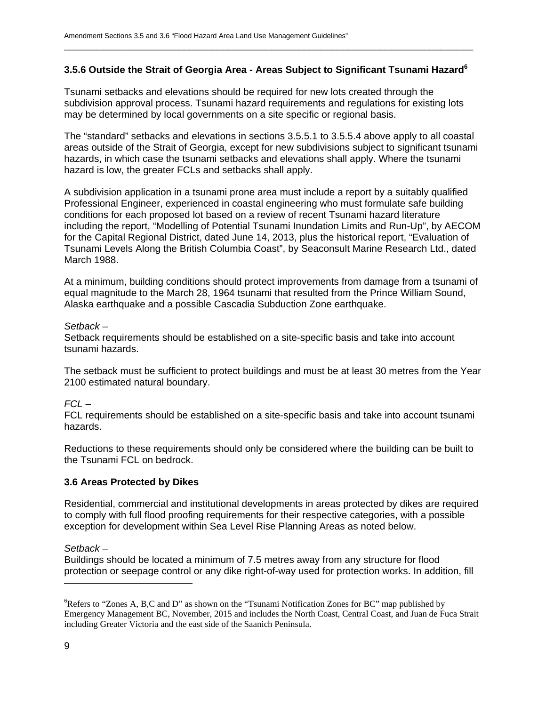## **3.5.6 Outside the Strait of Georgia Area - Areas Subject to Significant Tsunami Hazard6**

\_\_\_\_\_\_\_\_\_\_\_\_\_\_\_\_\_\_\_\_\_\_\_\_\_\_\_\_\_\_\_\_\_\_\_\_\_\_\_\_\_\_\_\_\_\_\_\_\_\_\_\_\_\_\_\_\_\_\_\_\_\_\_\_\_\_\_\_\_\_\_\_\_\_\_

Tsunami setbacks and elevations should be required for new lots created through the subdivision approval process. Tsunami hazard requirements and regulations for existing lots may be determined by local governments on a site specific or regional basis.

The "standard" setbacks and elevations in sections 3.5.5.1 to 3.5.5.4 above apply to all coastal areas outside of the Strait of Georgia, except for new subdivisions subject to significant tsunami hazards, in which case the tsunami setbacks and elevations shall apply. Where the tsunami hazard is low, the greater FCLs and setbacks shall apply.

A subdivision application in a tsunami prone area must include a report by a suitably qualified Professional Engineer, experienced in coastal engineering who must formulate safe building conditions for each proposed lot based on a review of recent Tsunami hazard literature including the report, "Modelling of Potential Tsunami Inundation Limits and Run-Up", by AECOM for the Capital Regional District, dated June 14, 2013, plus the historical report, "Evaluation of Tsunami Levels Along the British Columbia Coast", by Seaconsult Marine Research Ltd., dated March 1988.

At a minimum, building conditions should protect improvements from damage from a tsunami of equal magnitude to the March 28, 1964 tsunami that resulted from the Prince William Sound, Alaska earthquake and a possible Cascadia Subduction Zone earthquake.

#### *Setback –*

Setback requirements should be established on a site-specific basis and take into account tsunami hazards.

The setback must be sufficient to protect buildings and must be at least 30 metres from the Year 2100 estimated natural boundary.

#### *FCL –*

FCL requirements should be established on a site-specific basis and take into account tsunami hazards.

Reductions to these requirements should only be considered where the building can be built to the Tsunami FCL on bedrock.

#### **3.6 Areas Protected by Dikes**

Residential, commercial and institutional developments in areas protected by dikes are required to comply with full flood proofing requirements for their respective categories, with a possible exception for development within Sea Level Rise Planning Areas as noted below.

*Setback –* 

Buildings should be located a minimum of 7.5 metres away from any structure for flood protection or seepage control or any dike right-of-way used for protection works. In addition, fill

<sup>&</sup>lt;sup>6</sup>Refers to "Zones A, B,C and D" as shown on the "Tsunami Notification Zones for BC" map published by Emergency Management BC, November, 2015 and includes the North Coast, Central Coast, and Juan de Fuca Strait including Greater Victoria and the east side of the Saanich Peninsula.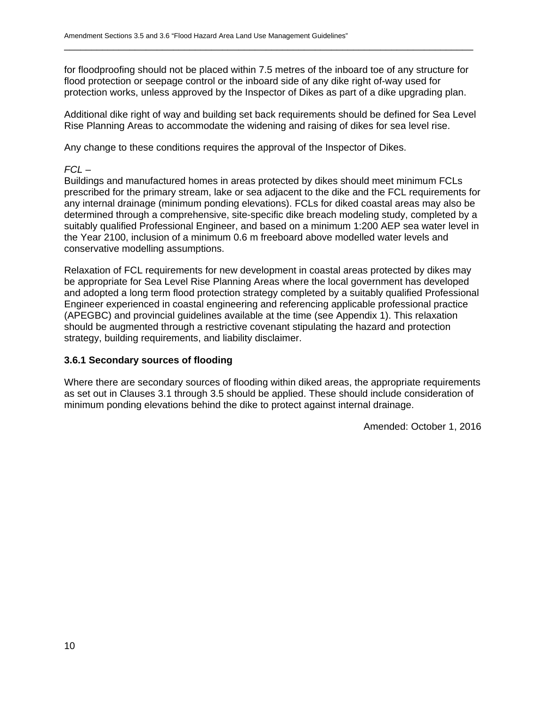for floodproofing should not be placed within 7.5 metres of the inboard toe of any structure for flood protection or seepage control or the inboard side of any dike right of-way used for protection works, unless approved by the Inspector of Dikes as part of a dike upgrading plan.

\_\_\_\_\_\_\_\_\_\_\_\_\_\_\_\_\_\_\_\_\_\_\_\_\_\_\_\_\_\_\_\_\_\_\_\_\_\_\_\_\_\_\_\_\_\_\_\_\_\_\_\_\_\_\_\_\_\_\_\_\_\_\_\_\_\_\_\_\_\_\_\_\_\_\_

Additional dike right of way and building set back requirements should be defined for Sea Level Rise Planning Areas to accommodate the widening and raising of dikes for sea level rise.

Any change to these conditions requires the approval of the Inspector of Dikes.

## *FCL –*

Buildings and manufactured homes in areas protected by dikes should meet minimum FCLs prescribed for the primary stream, lake or sea adjacent to the dike and the FCL requirements for any internal drainage (minimum ponding elevations). FCLs for diked coastal areas may also be determined through a comprehensive, site-specific dike breach modeling study, completed by a suitably qualified Professional Engineer, and based on a minimum 1:200 AEP sea water level in the Year 2100, inclusion of a minimum 0.6 m freeboard above modelled water levels and conservative modelling assumptions.

Relaxation of FCL requirements for new development in coastal areas protected by dikes may be appropriate for Sea Level Rise Planning Areas where the local government has developed and adopted a long term flood protection strategy completed by a suitably qualified Professional Engineer experienced in coastal engineering and referencing applicable professional practice (APEGBC) and provincial guidelines available at the time (see Appendix 1). This relaxation should be augmented through a restrictive covenant stipulating the hazard and protection strategy, building requirements, and liability disclaimer.

## **3.6.1 Secondary sources of flooding**

Where there are secondary sources of flooding within diked areas, the appropriate requirements as set out in Clauses 3.1 through 3.5 should be applied. These should include consideration of minimum ponding elevations behind the dike to protect against internal drainage.

Amended: October 1, 2016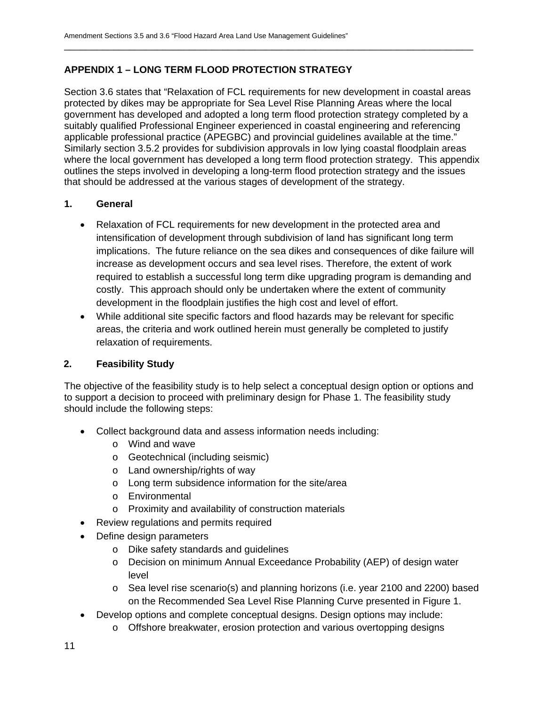## **APPENDIX 1 – LONG TERM FLOOD PROTECTION STRATEGY**

Section 3.6 states that "Relaxation of FCL requirements for new development in coastal areas protected by dikes may be appropriate for Sea Level Rise Planning Areas where the local government has developed and adopted a long term flood protection strategy completed by a suitably qualified Professional Engineer experienced in coastal engineering and referencing applicable professional practice (APEGBC) and provincial guidelines available at the time." Similarly section 3.5.2 provides for subdivision approvals in low lying coastal floodplain areas where the local government has developed a long term flood protection strategy. This appendix outlines the steps involved in developing a long-term flood protection strategy and the issues that should be addressed at the various stages of development of the strategy.

\_\_\_\_\_\_\_\_\_\_\_\_\_\_\_\_\_\_\_\_\_\_\_\_\_\_\_\_\_\_\_\_\_\_\_\_\_\_\_\_\_\_\_\_\_\_\_\_\_\_\_\_\_\_\_\_\_\_\_\_\_\_\_\_\_\_\_\_\_\_\_\_\_\_\_

## **1. General**

- Relaxation of FCL requirements for new development in the protected area and intensification of development through subdivision of land has significant long term implications. The future reliance on the sea dikes and consequences of dike failure will increase as development occurs and sea level rises. Therefore, the extent of work required to establish a successful long term dike upgrading program is demanding and costly. This approach should only be undertaken where the extent of community development in the floodplain justifies the high cost and level of effort.
- While additional site specific factors and flood hazards may be relevant for specific areas, the criteria and work outlined herein must generally be completed to justify relaxation of requirements.

## **2. Feasibility Study**

The objective of the feasibility study is to help select a conceptual design option or options and to support a decision to proceed with preliminary design for Phase 1. The feasibility study should include the following steps:

- Collect background data and assess information needs including:
	- o Wind and wave
	- o Geotechnical (including seismic)
	- o Land ownership/rights of way
	- o Long term subsidence information for the site/area
	- o Environmental
	- o Proximity and availability of construction materials
- Review regulations and permits required
- Define design parameters
	- o Dike safety standards and guidelines
	- o Decision on minimum Annual Exceedance Probability (AEP) of design water level
	- o Sea level rise scenario(s) and planning horizons (i.e. year 2100 and 2200) based on the Recommended Sea Level Rise Planning Curve presented in Figure 1.
- Develop options and complete conceptual designs. Design options may include:
	- o Offshore breakwater, erosion protection and various overtopping designs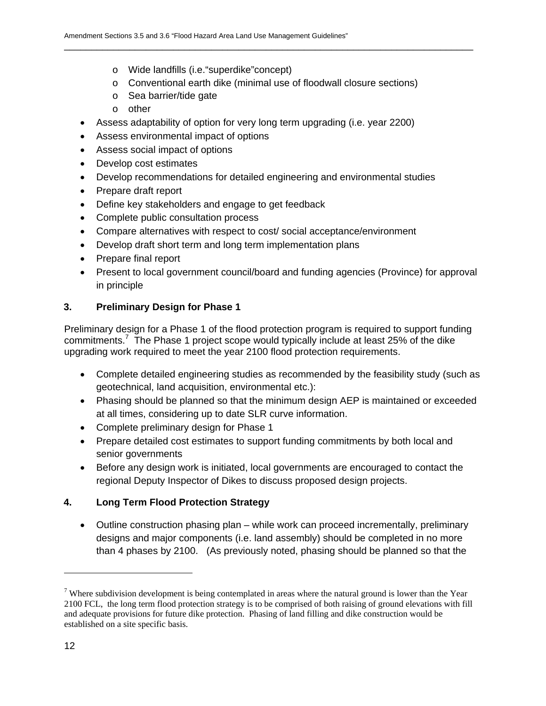- o Wide landfills (i.e."superdike"concept)
- o Conventional earth dike (minimal use of floodwall closure sections)

\_\_\_\_\_\_\_\_\_\_\_\_\_\_\_\_\_\_\_\_\_\_\_\_\_\_\_\_\_\_\_\_\_\_\_\_\_\_\_\_\_\_\_\_\_\_\_\_\_\_\_\_\_\_\_\_\_\_\_\_\_\_\_\_\_\_\_\_\_\_\_\_\_\_\_

- o Sea barrier/tide gate
- o other
- Assess adaptability of option for very long term upgrading (i.e. year 2200)
- Assess environmental impact of options
- Assess social impact of options
- Develop cost estimates
- Develop recommendations for detailed engineering and environmental studies
- Prepare draft report
- Define key stakeholders and engage to get feedback
- Complete public consultation process
- Compare alternatives with respect to cost/ social acceptance/environment
- Develop draft short term and long term implementation plans
- Prepare final report
- Present to local government council/board and funding agencies (Province) for approval in principle

## **3. Preliminary Design for Phase 1**

Preliminary design for a Phase 1 of the flood protection program is required to support funding commitments.<sup>7</sup> The Phase 1 project scope would typically include at least 25% of the dike upgrading work required to meet the year 2100 flood protection requirements.

- Complete detailed engineering studies as recommended by the feasibility study (such as geotechnical, land acquisition, environmental etc.):
- Phasing should be planned so that the minimum design AEP is maintained or exceeded at all times, considering up to date SLR curve information.
- Complete preliminary design for Phase 1
- Prepare detailed cost estimates to support funding commitments by both local and senior governments
- Before any design work is initiated, local governments are encouraged to contact the regional Deputy Inspector of Dikes to discuss proposed design projects.

# **4. Long Term Flood Protection Strategy**

 Outline construction phasing plan – while work can proceed incrementally, preliminary designs and major components (i.e. land assembly) should be completed in no more than 4 phases by 2100. (As previously noted, phasing should be planned so that the

-

<sup>&</sup>lt;sup>7</sup> Where subdivision development is being contemplated in areas where the natural ground is lower than the Year 2100 FCL, the long term flood protection strategy is to be comprised of both raising of ground elevations with fill and adequate provisions for future dike protection. Phasing of land filling and dike construction would be established on a site specific basis.